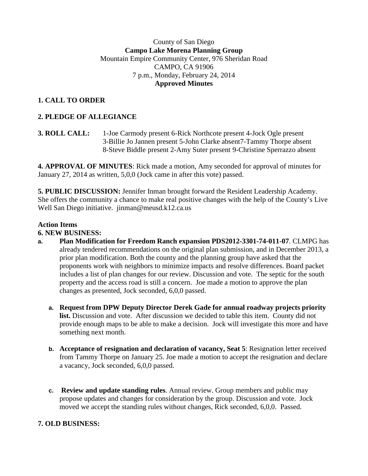## County of San Diego **Campo Lake Morena Planning Group** Mountain Empire Community Center, 976 Sheridan Road CAMPO, CA 91906 7 p.m., Monday, February 24, 2014 **Approved Minutes**

# **1. CALL TO ORDER**

## **2. PLEDGE OF ALLEGIANCE**

**3. ROLL CALL:** 1**-**Joe Carmody present 6-Rick Northcote present 4-Jock Ogle present 3-Billie Jo Jannen present 5-John Clarke absent7-Tammy Thorpe absent 8-Steve Biddle present 2-Amy Suter present 9-Christine Sperrazzo absent

**4. APPROVAL OF MINUTES**: Rick made a motion, Amy seconded for approval of minutes for January 27, 2014 as written, 5,0,0 (Jock came in after this vote) passed.

**5. PUBLIC DISCUSSION:** Jennifer Inman brought forward the Resident Leadership Academy. She offers the community a chance to make real positive changes with the help of the County's Live Well San Diego initiative. jinman@meusd.k12.ca.us

#### **Action Items**

#### **6. NEW BUSINESS:**

- **a. Plan Modification for Freedom Ranch expansion PDS2012-3301-74-011-07**. CLMPG has already tendered recommendations on the original plan submission, and in December 2013, a prior plan modification. Both the county and the planning group have asked that the proponents work with neighbors to minimize impacts and resolve differences. Board packet includes a list of plan changes for our review. Discussion and vote. The septic for the south property and the access road is still a concern. Joe made a motion to approve the plan changes as presented, Jock seconded, 6,0,0 passed.
	- **a. Request from DPW Deputy Director Derek Gade for annual roadway projects priority list.** Discussion and vote. After discussion we decided to table this item. County did not provide enough maps to be able to make a decision. Jock will investigate this more and have something next month.
	- **b. Acceptance of resignation and declaration of vacancy, Seat 5**: Resignation letter received from Tammy Thorpe on January 25. Joe made a motion to accept the resignation and declare a vacancy, Jock seconded, 6,0,0 passed.
	- **c. Review and update standing rules**. Annual review. Group members and public may propose updates and changes for consideration by the group. Discussion and vote. Jock moved we accept the standing rules without changes, Rick seconded, 6,0,0. Passed.

## **7. OLD BUSINESS:**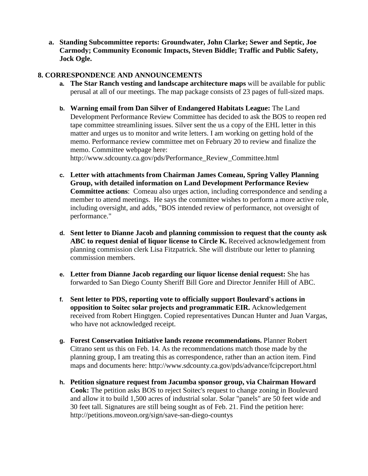**a. Standing Subcommittee reports: Groundwater, John Clarke; Sewer and Septic, Joe Carmody; Community Economic Impacts, Steven Biddle; Traffic and Public Safety, Jock Ogle.**

#### **8. CORRESPONDENCE AND ANNOUNCEMENTS**

- **a. The Star Ranch vesting and landscape architecture maps** will be available for public perusal at all of our meetings. The map package consists of 23 pages of full-sized maps.
- **b. Warning email from Dan Silver of Endangered Habitats League:** The Land Development Performance Review Committee has decided to ask the BOS to reopen red tape committee streamlining issues. Silver sent the us a copy of the EHL letter in this matter and urges us to monitor and write letters. I am working on getting hold of the memo. Performance review committee met on February 20 to review and finalize the memo. Committee webpage here:

http://www.sdcounty.ca.gov/pds/Performance\_Review\_Committee.html

- **c. Letter with attachments from Chairman James Comeau, Spring Valley Planning Group, with detailed information on Land Development Performance Review Committee actions**: Comeau also urges action, including correspondence and sending a member to attend meetings. He says the committee wishes to perform a more active role, including oversight, and adds, "BOS intended review of performance, not oversight of performance."
- **d. Sent letter to Dianne Jacob and planning commission to request that the county ask ABC to request denial of liquor license to Circle K.** Received acknowledgement from planning commission clerk Lisa Fitzpatrick. She will distribute our letter to planning commission members.
- **e. Letter from Dianne Jacob regarding our liquor license denial request:** She has forwarded to San Diego County Sheriff Bill Gore and Director Jennifer Hill of ABC.
- **f. Sent letter to PDS, reporting vote to officially support Boulevard's actions in opposition to Soitec solar projects and programmatic EIR.** Acknowledgement received from Robert Hingtgen. Copied representatives Duncan Hunter and Juan Vargas, who have not acknowledged receipt.
- **g. Forest Conservation Initiative lands rezone recommendations.** Planner Robert Citrano sent us this on Feb. 14. As the recommendations match those made by the planning group, I am treating this as correspondence, rather than an action item. Find maps and documents here: http://www.sdcounty.ca.gov/pds/advance/fcipcreport.html
- **h. Petition signature request from Jacumba sponsor group, via Chairman Howard Cook:** The petition asks BOS to reject Soitec's request to change zoning in Boulevard and allow it to build 1,500 acres of industrial solar. Solar "panels" are 50 feet wide and 30 feet tall. Signatures are still being sought as of Feb. 21. Find the petition here: http://petitions.moveon.org/sign/save-san-diego-countys